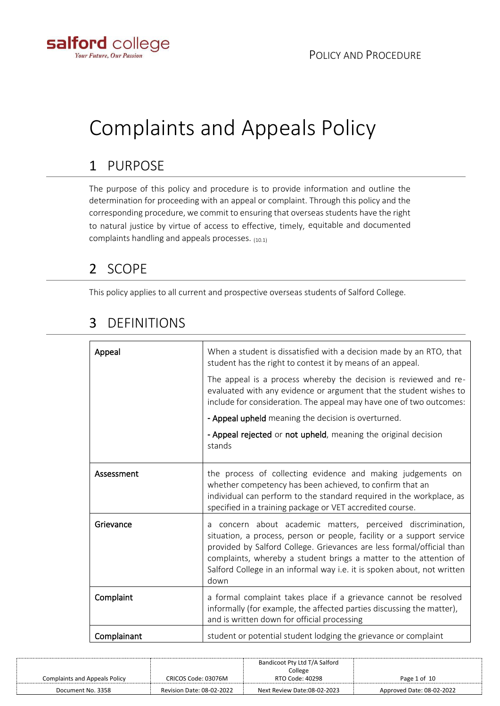

# Complaints and Appeals Policy

# 1 PURPOSE

The purpose of this policy and procedure is to provide information and outline the determination for proceeding with an appeal or complaint. Through this policy and the corresponding procedure, we commit to ensuring that overseas students have the right to natural justice by virtue of access to effective, timely, equitable and documented complaints handling and appeals processes. (10.1)

## 2 SCOPE

This policy applies to all current and prospective overseas students of Salford College.

| Appeal      | When a student is dissatisfied with a decision made by an RTO, that<br>student has the right to contest it by means of an appeal.                                                                                                                                                                                                                                        |
|-------------|--------------------------------------------------------------------------------------------------------------------------------------------------------------------------------------------------------------------------------------------------------------------------------------------------------------------------------------------------------------------------|
|             | The appeal is a process whereby the decision is reviewed and re-<br>evaluated with any evidence or argument that the student wishes to<br>include for consideration. The appeal may have one of two outcomes:                                                                                                                                                            |
|             | - Appeal upheld meaning the decision is overturned.                                                                                                                                                                                                                                                                                                                      |
|             | - Appeal rejected or not upheld, meaning the original decision<br>stands                                                                                                                                                                                                                                                                                                 |
| Assessment  | the process of collecting evidence and making judgements on<br>whether competency has been achieved, to confirm that an<br>individual can perform to the standard required in the workplace, as<br>specified in a training package or VET accredited course.                                                                                                             |
| Grievance   | concern about academic matters, perceived discrimination,<br>a<br>situation, a process, person or people, facility or a support service<br>provided by Salford College. Grievances are less formal/official than<br>complaints, whereby a student brings a matter to the attention of<br>Salford College in an informal way i.e. it is spoken about, not written<br>down |
| Complaint   | a formal complaint takes place if a grievance cannot be resolved<br>informally (for example, the affected parties discussing the matter),<br>and is written down for official processing                                                                                                                                                                                 |
| Complainant | student or potential student lodging the grievance or complaint                                                                                                                                                                                                                                                                                                          |

### 3 DEFINITIONS

|                                      |                           | Bandicoot Pty Ltd T/A Salford |                           |
|--------------------------------------|---------------------------|-------------------------------|---------------------------|
|                                      |                           | College                       |                           |
| <b>Complaints and Appeals Policy</b> | CRICOS Code: 03076M       | RTO Code: 40298               | Page 1 of 10              |
| Document No. 3358                    | Revision Date: 08-02-2022 | Next Review Date:08-02-2023   | Approved Date: 08-02-2022 |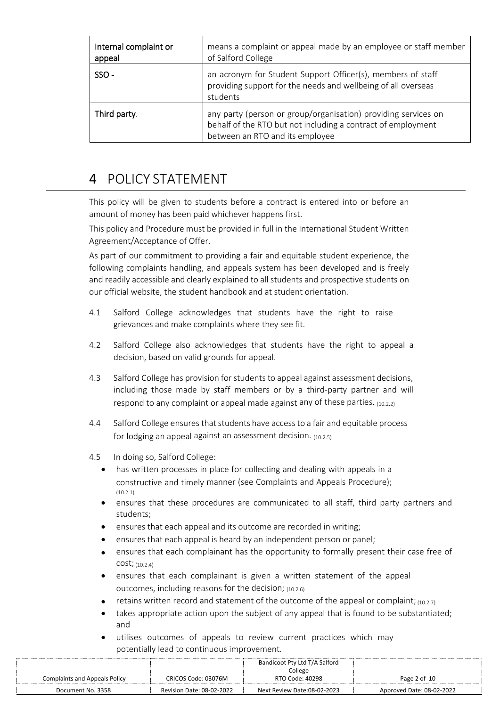| Internal complaint or<br>appeal | means a complaint or appeal made by an employee or staff member<br>of Salford College                                                                             |
|---------------------------------|-------------------------------------------------------------------------------------------------------------------------------------------------------------------|
| SSO-                            | an acronym for Student Support Officer(s), members of staff<br>providing support for the needs and wellbeing of all overseas<br>students                          |
| Third party.                    | any party (person or group/organisation) providing services on<br>behalf of the RTO but not including a contract of employment<br>between an RTO and its employee |

### 4 POLICY STATEMENT

This policy will be given to students before a contract is entered into or before an amount of money has been paid whichever happens first.

This policy and Procedure must be provided in full in the International Student Written Agreement/Acceptance of Offer.

As part of our commitment to providing a fair and equitable student experience, the following complaints handling, and appeals system has been developed and is freely and readily accessible and clearly explained to all students and prospective students on our official website, the student handbook and at student orientation.

- 4.1 Salford College acknowledges that students have the right to raise grievances and make complaints where they see fit.
- 4.2 Salford College also acknowledges that students have the right to appeal a decision, based on valid grounds for appeal.
- 4.3 Salford College has provision for students to appeal against assessment decisions, including those made by staff members or by a third-party partner and will respond to any complaint or appeal made against any of these parties. (10.2.2)
- 4.4 Salford College ensures that students have access to a fair and equitable process for lodging an appeal against an assessment decision.  $(10.2.5)$
- 4.5 In doing so, Salford College:
	- has written processes in place for collecting and dealing with appeals in a constructive and timely manner (see Complaints and Appeals Procedure); (10.2.1)
	- ensures that these procedures are communicated to all staff, third party partners and students;
	- ensures that each appeal and its outcome are recorded in writing;
	- ensures that each appeal is heard by an independent person or panel;
	- ensures that each complainant has the opportunity to formally present their case free of cost; (10.2.4)
	- ensures that each complainant is given a written statement of the appeal outcomes, including reasons for the decision;  $(10.2.6)$
	- retains written record and statement of the outcome of the appeal or complaint;  $(10.2.7)$
	- takes appropriate action upon the subject of any appeal that is found to be substantiated; and
	- utilises outcomes of appeals to review current practices which may potentially lead to continuous improvement.

|                               |                           | Bandicoot Pty Ltd T/A Salford<br>College |                           |
|-------------------------------|---------------------------|------------------------------------------|---------------------------|
| Complaints and Appeals Policy | CRICOS Code: 03076M       | RTO Code: 40298                          | Page 2 of 10              |
| Document No. 3358             | Revision Date: 08-02-2022 | Next Review Date:08-02-2023              | Approved Date: 08-02-2022 |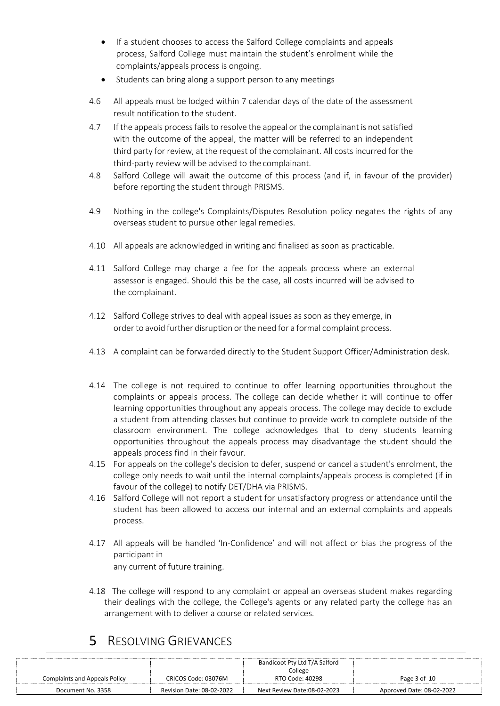- If a student chooses to access the Salford College complaints and appeals process, Salford College must maintain the student's enrolment while the complaints/appeals process is ongoing.
- Students can bring along a support person to any meetings
- 4.6 All appeals must be lodged within 7 calendar days of the date of the assessment result notification to the student.
- 4.7 If the appeals process fails to resolve the appeal or the complainant is not satisfied with the outcome of the appeal, the matter will be referred to an independent third party for review, at the request of the complainant. All costs incurred for the third-party review will be advised to the complainant.
- 4.8 Salford College will await the outcome of this process (and if, in favour of the provider) before reporting the student through PRISMS.
- 4.9 Nothing in the college's Complaints/Disputes Resolution policy negates the rights of any overseas student to pursue other legal remedies.
- 4.10 All appeals are acknowledged in writing and finalised as soon as practicable.
- 4.11 Salford College may charge a fee for the appeals process where an external assessor is engaged. Should this be the case, all costs incurred will be advised to the complainant.
- 4.12 Salford College strives to deal with appeal issues as soon as they emerge, in order to avoid further disruption or the need for a formal complaint process.
- 4.13 A complaint can be forwarded directly to the Student Support Officer/Administration desk.
- 4.14 The college is not required to continue to offer learning opportunities throughout the complaints or appeals process. The college can decide whether it will continue to offer learning opportunities throughout any appeals process. The college may decide to exclude a student from attending classes but continue to provide work to complete outside of the classroom environment. The college acknowledges that to deny students learning opportunities throughout the appeals process may disadvantage the student should the appeals process find in their favour.
- 4.15 For appeals on the college's decision to defer, suspend or cancel a student's enrolment, the college only needs to wait until the internal complaints/appeals process is completed (if in favour of the college) to notify DET/DHA via PRISMS.
- 4.16 Salford College will not report a student for unsatisfactory progress or attendance until the student has been allowed to access our internal and an external complaints and appeals process.
- 4.17 All appeals will be handled 'In-Confidence' and will not affect or bias the progress of the participant in any current of future training.
- 4.18 The college will respond to any complaint or appeal an overseas student makes regarding their dealings with the college, the College's agents or any related party the college has an arrangement with to deliver a course or related services.

### 5 RESOLVING GRIEVANCES

|                               |                           | Bandicoot Pty Ltd T/A Salford |                           |
|-------------------------------|---------------------------|-------------------------------|---------------------------|
|                               |                           | College                       |                           |
| Complaints and Appeals Policy | CRICOS Code: 03076M       | RTO Code: 40298               | Page 3 of 10              |
| Document No. 3358             | Revision Date: 08-02-2022 | Next Review Date:08-02-2023   | Approved Date: 08-02-2022 |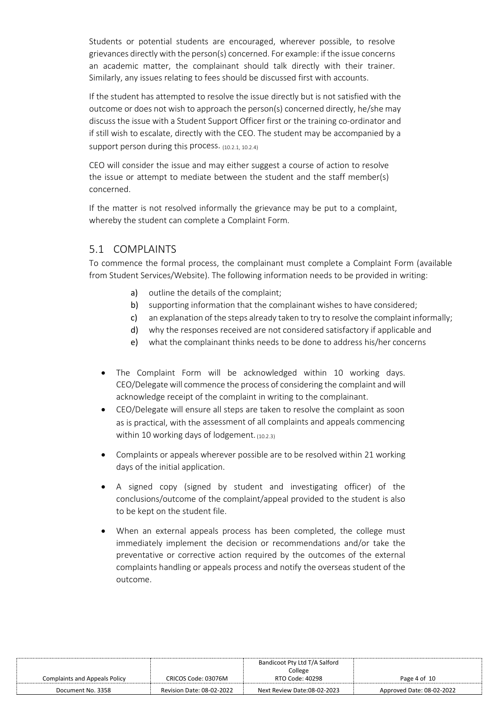Students or potential students are encouraged, wherever possible, to resolve grievances directly with the person(s) concerned. For example: if the issue concerns an academic matter, the complainant should talk directly with their trainer. Similarly, any issues relating to fees should be discussed first with accounts.

If the student has attempted to resolve the issue directly but is not satisfied with the outcome or does not wish to approach the person(s) concerned directly, he/she may discuss the issue with a Student Support Officer first or the training co-ordinator and if still wish to escalate, directly with the CEO. The student may be accompanied by a support person during this process. (10.2.1, 10.2.4)

CEO will consider the issue and may either suggest a course of action to resolve the issue or attempt to mediate between the student and the staff member(s) concerned.

If the matter is not resolved informally the grievance may be put to a complaint, whereby the student can complete a Complaint Form.

#### 5.1 COMPLAINTS

To commence the formal process, the complainant must complete a Complaint Form (available from Student Services/Website). The following information needs to be provided in writing:

- a) outline the details of the complaint;
- b) supporting information that the complainant wishes to have considered;
- c) an explanation of the steps already taken to try to resolve the complaint informally;
- d) why the responses received are not considered satisfactory if applicable and
- e) what the complainant thinks needs to be done to address his/her concerns
- The Complaint Form will be acknowledged within 10 working days. CEO/Delegate will commence the process of considering the complaint and will acknowledge receipt of the complaint in writing to the complainant.
- CEO/Delegate will ensure all steps are taken to resolve the complaint as soon as is practical, with the assessment of all complaints and appeals commencing within 10 working days of lodgement. (10.2.3)
- Complaints or appeals wherever possible are to be resolved within 21 working days of the initial application.
- A signed copy (signed by student and investigating officer) of the conclusions/outcome of the complaint/appeal provided to the student is also to be kept on the student file.
- When an external appeals process has been completed, the college must immediately implement the decision or recommendations and/or take the preventative or corrective action required by the outcomes of the external complaints handling or appeals process and notify the overseas student of the outcome.

|                                      |                           | Bandicoot Pty Ltd T/A Salford |                           |
|--------------------------------------|---------------------------|-------------------------------|---------------------------|
|                                      |                           | College                       |                           |
| <b>Complaints and Appeals Policy</b> | CRICOS Code: 03076M       | RTO Code: 40298               | Page 4 of 10              |
| Document No. 3358                    | Revision Date: 08-02-2022 | Next Review Date:08-02-2023   | Approved Date: 08-02-2022 |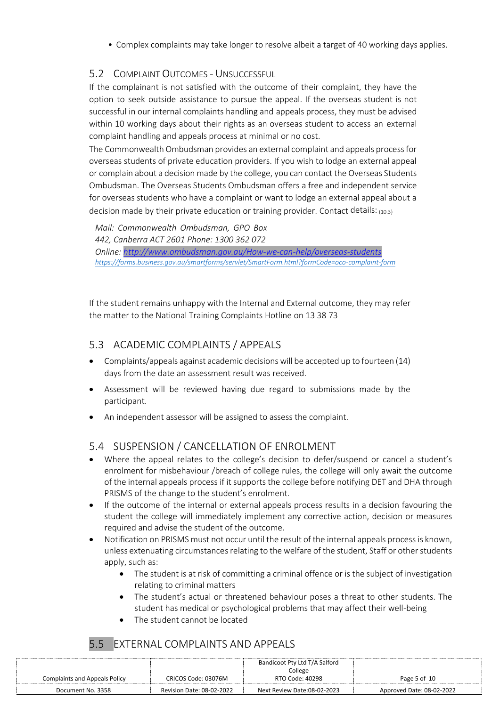• Complex complaints may take longer to resolve albeit a target of 40 working days applies.

#### 5.2 COMPLAINT OUTCOMES - UNSUCCESSFUL

If the complainant is not satisfied with the outcome of their complaint, they have the option to seek outside assistance to pursue the appeal. If the overseas student is not successful in our internal complaints handling and appeals process, they must be advised within 10 working days about their rights as an overseas student to access an external complaint handling and appeals process at minimal or no cost.

The Commonwealth Ombudsman provides an external complaint and appeals process for overseas students of private education providers. If you wish to lodge an external appeal or complain about a decision made by the college, you can contact the Overseas Students Ombudsman. The Overseas Students Ombudsman offers a free and independent service for overseas students who have a complaint or want to lodge an external appeal about a decision made by their private education or training provider. Contact details:  $_{(10.3)}$ 

*Mail: Commonwealth Ombudsman, GPO Box 442, Canberra ACT 2601 Phone: 1300 362 072 Online: <http://www.ombudsman.gov.au/How-we-can-help/overseas-students> <https://forms.business.gov.au/smartforms/servlet/SmartForm.html?formCode=oco-complaint-form>*

If the student remains unhappy with the Internal and External outcome, they may refer the matter to the National Training Complaints Hotline on 13 38 73

#### 5.3 ACADEMIC COMPLAINTS / APPEALS

- Complaints/appeals against academic decisions will be accepted up to fourteen (14) days from the date an assessment result was received.
- Assessment will be reviewed having due regard to submissions made by the participant.
- An independent assessor will be assigned to assess the complaint.

### 5.4 SUSPENSION / CANCELLATION OF ENROLMENT

- Where the appeal relates to the college's decision to defer/suspend or cancel a student's enrolment for misbehaviour /breach of college rules, the college will only await the outcome of the internal appeals process if it supports the college before notifying DET and DHA through PRISMS of the change to the student's enrolment.
- If the outcome of the internal or external appeals process results in a decision favouring the student the college will immediately implement any corrective action, decision or measures required and advise the student of the outcome.
- Notification on PRISMS must not occur until the result of the internal appeals process is known, unless extenuating circumstances relating to the welfare of the student, Staff or other students apply, such as:
	- The student is at risk of committing a criminal offence or is the subject of investigation relating to criminal matters
	- The student's actual or threatened behaviour poses a threat to other students. The student has medical or psychological problems that may affect their well-being
	- The student cannot be located

### 5.5 EXTERNAL COMPLAINTS AND APPEALS

|                                      |                           | Bandicoot Pty Ltd T/A Salford |                           |
|--------------------------------------|---------------------------|-------------------------------|---------------------------|
|                                      |                           | College                       |                           |
| <b>Complaints and Appeals Policy</b> | CRICOS Code: 03076M       | RTO Code: 40298               | Page 5 of 10              |
| Document No. 3358                    | Revision Date: 08-02-2022 | Next Review Date:08-02-2023   | Approved Date: 08-02-2022 |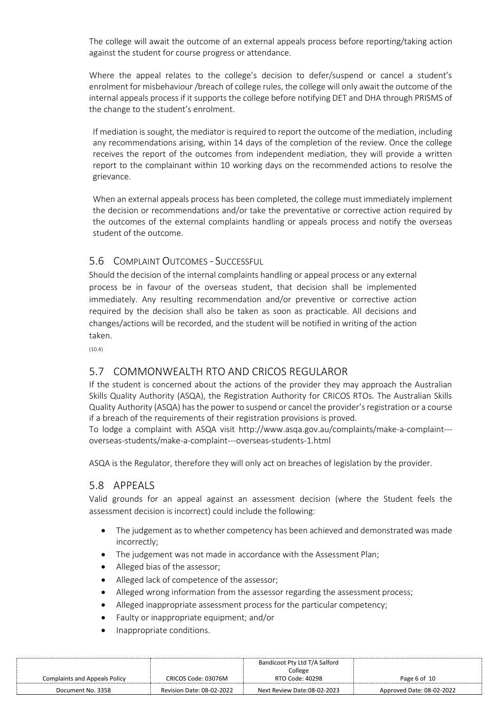The college will await the outcome of an external appeals process before reporting/taking action against the student for course progress or attendance.

Where the appeal relates to the college's decision to defer/suspend or cancel a student's enrolment for misbehaviour /breach of college rules, the college will only await the outcome of the internal appeals process if it supports the college before notifying DET and DHA through PRISMS of the change to the student's enrolment.

If mediation is sought, the mediator is required to report the outcome of the mediation, including any recommendations arising, within 14 days of the completion of the review. Once the college receives the report of the outcomes from independent mediation, they will provide a written report to the complainant within 10 working days on the recommended actions to resolve the grievance.

When an external appeals process has been completed, the college must immediately implement the decision or recommendations and/or take the preventative or corrective action required by the outcomes of the external complaints handling or appeals process and notify the overseas student of the outcome.

#### 5.6 COMPLAINT OUTCOMES - SUCCESSFUL

Should the decision of the internal complaints handling or appeal process or any external process be in favour of the overseas student, that decision shall be implemented immediately. Any resulting recommendation and/or preventive or corrective action required by the decision shall also be taken as soon as practicable. All decisions and changes/actions will be recorded, and the student will be notified in writing of the action taken.

(10.4)

#### 5.7 COMMONWEALTH RTO AND CRICOS REGULAROR

If the student is concerned about the actions of the provider they may approach the Australian Skills Quality Authority (ASQA), the Registration Authority for CRICOS RTOs. The Australian Skills Quality Authority (ASQA) has the power to suspend or cancel the provider's registration or a course if a breach of the requirements of their registration provisions is proved.

To lodge a complaint with ASQA visit [http://www.asqa.gov.au/complaints/make-a-complaint--](http://www.asqa.gov.au/complaints/make-a-complaint---overseas-students/make-a-complaint---overseas-students-1.html) [overseas-students/make-a-complaint---overseas-students-1.html](http://www.asqa.gov.au/complaints/make-a-complaint---overseas-students/make-a-complaint---overseas-students-1.html)

ASQA is the Regulator, therefore they will only act on breaches of legislation by the provider.

#### 5.8 APPEALS

Valid grounds for an appeal against an assessment decision (where the Student feels the assessment decision is incorrect) could include the following:

- The judgement as to whether competency has been achieved and demonstrated was made incorrectly;
- The judgement was not made in accordance with the Assessment Plan;
- Alleged bias of the assessor;
- Alleged lack of competence of the assessor;
- Alleged wrong information from the assessor regarding the assessment process;
- Alleged inappropriate assessment process for the particular competency;
- Faulty or inappropriate equipment; and/or
- Inappropriate conditions.

|                                      |                           | Bandicoot Pty Ltd T/A Salford |                           |
|--------------------------------------|---------------------------|-------------------------------|---------------------------|
|                                      |                           | College                       |                           |
| <b>Complaints and Appeals Policy</b> | CRICOS Code: 03076M       | RTO Code: 40298               | Page 6 of 10              |
| Document No. 3358                    | Revision Date: 08-02-2022 | Next Review Date:08-02-2023   | Approved Date: 08-02-2022 |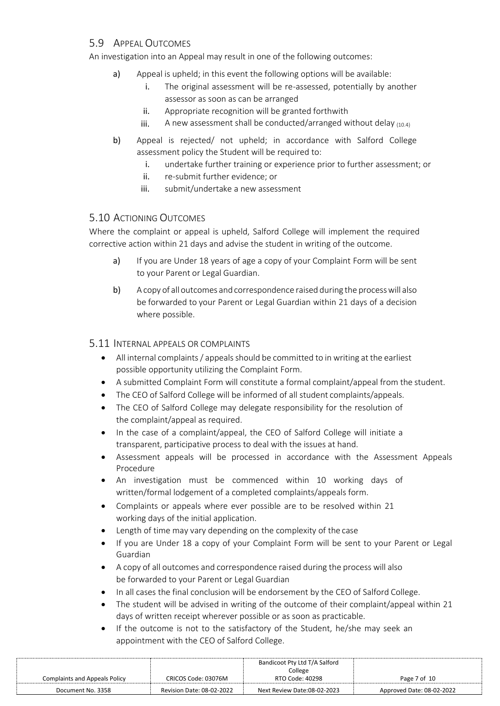#### 5.9 APPEAL OUTCOMES

An investigation into an Appeal may result in one of the following outcomes:

- a) Appeal is upheld; in this event the following options will be available:
	- i. The original assessment will be re-assessed, potentially by another assessor as soon as can be arranged
	- ii. Appropriate recognition will be granted forthwith
	- iii. A new assessment shall be conducted/arranged without delay  $_{(10.4)}$
- b) Appeal is rejected/ not upheld; in accordance with Salford College assessment policy the Student will be required to:
	- i. undertake further training or experience prior to further assessment; or
	- ii. re-submit further evidence; or
	- iii. submit/undertake a new assessment

#### 5.10 ACTIONING OUTCOMES

Where the complaint or appeal is upheld, Salford College will implement the required corrective action within 21 days and advise the student in writing of the outcome.

- a) If you are Under 18 years of age a copy of your Complaint Form will be sent to your Parent or Legal Guardian.
- b) A copy of all outcomes and correspondence raised during the process will also be forwarded to your Parent or Legal Guardian within 21 days of a decision where possible.

#### 5.11 INTERNAL APPEALS OR COMPLAINTS

- All internal complaints / appeals should be committed to in writing at the earliest possible opportunity utilizing the Complaint Form.
- A submitted Complaint Form will constitute a formal complaint/appeal from the student.
- The CEO of Salford College will be informed of all student complaints/appeals.
- The CEO of Salford College may delegate responsibility for the resolution of the complaint/appeal as required.
- In the case of a complaint/appeal, the CEO of Salford College will initiate a transparent, participative process to deal with the issues at hand.
- Assessment appeals will be processed in accordance with the Assessment Appeals Procedure
- An investigation must be commenced within 10 working days of written/formal lodgement of a completed complaints/appeals form.
- Complaints or appeals where ever possible are to be resolved within 21 working days of the initial application.
- Length of time may vary depending on the complexity of the case
- If you are Under 18 a copy of your Complaint Form will be sent to your Parent or Legal Guardian
- A copy of all outcomes and correspondence raised during the process will also be forwarded to your Parent or Legal Guardian
- In all cases the final conclusion will be endorsement by the CEO of Salford College.
- The student will be advised in writing of the outcome of their complaint/appeal within 21 days of written receipt wherever possible or as soon as practicable.
- If the outcome is not to the satisfactory of the Student, he/she may seek an appointment with the CEO of Salford College.

|                               |                           | Bandicoot Pty Ltd T/A Salford |                           |
|-------------------------------|---------------------------|-------------------------------|---------------------------|
|                               |                           | College                       |                           |
| Complaints and Appeals Policy | CRICOS Code: 03076M       | RTO Code: 40298               | Page 7 of 10              |
| Document No. 3358             | Revision Date: 08-02-2022 | Next Review Date:08-02-2023   | Approved Date: 08-02-2022 |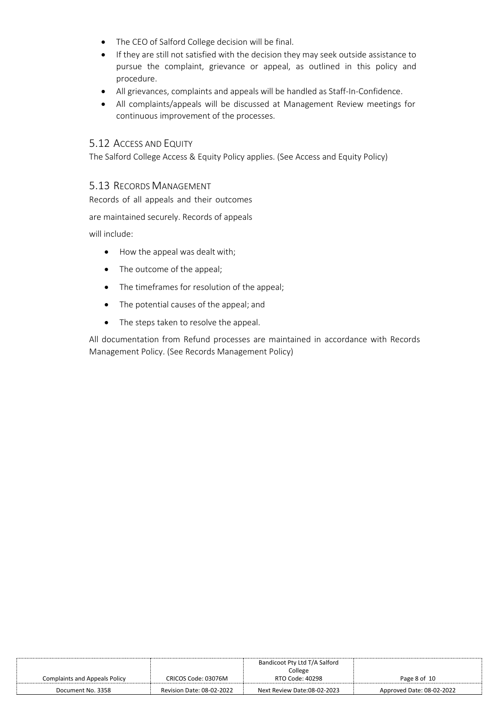- The CEO of Salford College decision will be final.
- If they are still not satisfied with the decision they may seek outside assistance to pursue the complaint, grievance or appeal, as outlined in this policy and procedure.
- All grievances, complaints and appeals will be handled as Staff-In-Confidence.
- All complaints/appeals will be discussed at Management Review meetings for continuous improvement of the processes.

#### 5.12 ACCESS AND EQUITY

The Salford College Access & Equity Policy applies. (See Access and Equity Policy)

#### 5.13 RECORDS MANAGEMENT

Records of all appeals and their outcomes

are maintained securely. Records of appeals

will include:

- How the appeal was dealt with;
- The outcome of the appeal;
- The timeframes for resolution of the appeal;
- The potential causes of the appeal; and
- The steps taken to resolve the appeal.

All documentation from Refund processes are maintained in accordance with Records Management Policy. (See Records Management Policy)

|                                      |                           | Bandicoot Pty Ltd T/A Salford |                           |
|--------------------------------------|---------------------------|-------------------------------|---------------------------|
|                                      |                           | College                       |                           |
| <b>Complaints and Appeals Policy</b> | CRICOS Code: 03076M       | RTO Code: 40298               | Page 8 of 10              |
| Document No. 3358                    | Revision Date: 08-02-2022 | Next Review Date:08-02-2023   | Approved Date: 08-02-2022 |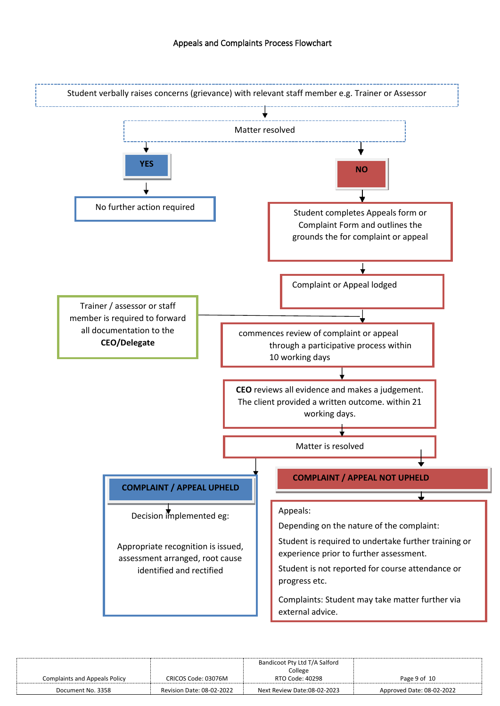

|                                      |                                  | Bandicoot Pty Ltd T/A Salford |                           |
|--------------------------------------|----------------------------------|-------------------------------|---------------------------|
|                                      |                                  | College                       |                           |
| <b>Complaints and Appeals Policy</b> | CRICOS Code: 03076M              | RTO Code: 40298               | Page 9 of 10              |
| Document No. 3358                    | <b>Revision Date: 08-02-2022</b> | Next Review Date:08-02-2023   | Approved Date: 08-02-2022 |